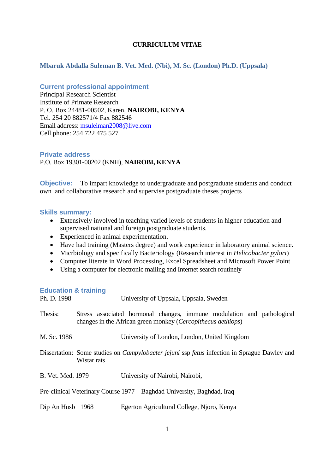## **CURRICULUM VITAE**

## **Mbaruk Abdalla Suleman B. Vet. Med. (Nbi), M. Sc. (London) Ph.D. (Uppsala)**

## **Current professional appointment**

Principal Research Scientist Institute of Primate Research P. O. Box 24481-00502, Karen, **NAIROBI, KENYA** Tel. 254 20 882571/4 Fax 882546 Email address: [msuleiman2008@live.com](mailto:msuleiman2008@live.com) Cell phone: 254 722 475 527

**Private address** P.O. Box 19301-00202 (KNH), **NAIROBI, KENYA**

**Objective:** To impart knowledge to undergraduate and postgraduate students and conduct own and collaborative research and supervise postgraduate theses projects

## **Skills summary:**

- Extensively involved in teaching varied levels of students in higher education and supervised national and foreign postgraduate students.
- Experienced in animal experimentation.
- Have had training (Masters degree) and work experience in laboratory animal science.
- Micrbiology and specifically Bacteriology (Research interest in *Helicobacter pylori*)
- Computer literate in Word Processing, Excel Spreadsheet and Microsoft Power Point
- Using a computer for electronic mailing and Internet search routinely

#### **Education & training**

| Ph. D. 1998       |             | University of Uppsala, Uppsala, Sweden                                                                                                          |
|-------------------|-------------|-------------------------------------------------------------------------------------------------------------------------------------------------|
| Thesis:           |             | Stress associated hormonal changes, immune modulation and pathological<br>changes in the African green monkey ( <i>Cercopithecus aethiops</i> ) |
| M. Sc. 1986       |             | University of London, London, United Kingdom                                                                                                    |
|                   | Wistar rats | Dissertation: Some studies on <i>Campylobacter jejuni</i> ssp <i>fetus</i> infection in Sprague Dawley and                                      |
| B. Vet. Med. 1979 |             | University of Nairobi, Nairobi,                                                                                                                 |
|                   |             | Pre-clinical Veterinary Course 1977 Baghdad University, Baghdad, Iraq                                                                           |
| Dip An Husb 1968  |             | Egerton Agricultural College, Njoro, Kenya                                                                                                      |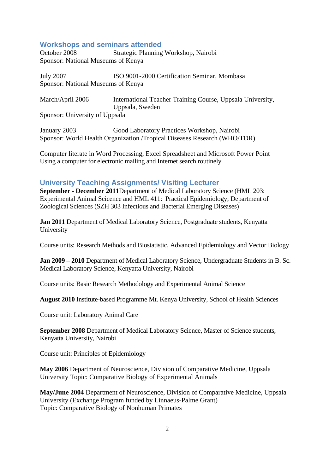## **Workshops and seminars attended**

October 2008 Strategic Planning Workshop, Nairobi Sponsor: National Museums of Kenya

July 2007 ISO 9001-2000 Certification Seminar, Mombasa Sponsor: National Museums of Kenya

March/April 2006 International Teacher Training Course, Uppsala University, Uppsala, Sweden Sponsor: University of Uppsala

January 2003 Good Laboratory Practices Workshop, Nairobi Sponsor: World Health Organization /Tropical Diseases Research (WHO/TDR)

Computer literate in Word Processing, Excel Spreadsheet and Microsoft Power Point Using a computer for electronic mailing and Internet search routinely

# **University Teaching Assignments/ Visiting Lecturer**

**September - December 2011**Department of Medical Laboratory Science (HML 203: Experimental Animal Scicence and HML 411: Practical Epidemiology; Department of Zoological Sciences (SZH 303 Infectious and Bacterial Emerging Diseases)

**Jan 2011** Department of Medical Laboratory Science, Postgraduate students, Kenyatta University

Course units: Research Methods and Biostatistic, Advanced Epidemiology and Vector Biology

**Jan 2009 – 2010** Department of Medical Laboratory Science, Undergraduate Students in B. Sc. Medical Laboratory Science, Kenyatta University, Nairobi

Course units: Basic Research Methodology and Experimental Animal Science

**August 2010** Institute-based Programme Mt. Kenya University, School of Health Sciences

Course unit: Laboratory Animal Care

**September 2008** Department of Medical Laboratory Science, Master of Science students, Kenyatta University, Nairobi

Course unit: Principles of Epidemiology

**May 2006** Department of Neuroscience, Division of Comparative Medicine, Uppsala University Topic: Comparative Biology of Experimental Animals

**May/June 2004** Department of Neuroscience, Division of Comparative Medicine, Uppsala University (Exchange Program funded by Linnaeus-Palme Grant) Topic: Comparative Biology of Nonhuman Primates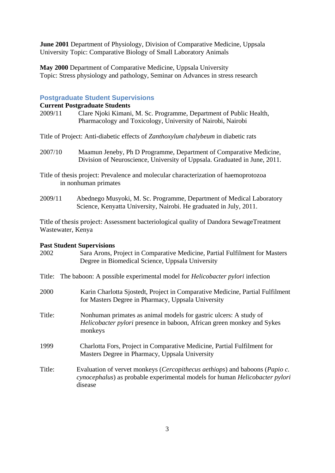**June 2001** Department of Physiology, Division of Comparative Medicine, Uppsala University Topic: Comparative Biology of Small Laboratory Animals

**May 2000** Department of Comparative Medicine, Uppsala University Topic: Stress physiology and pathology, Seminar on Advances in stress research

#### **Postgraduate Student Supervisions**

## **Current Postgraduate Students**

2009/11 Clare Njoki Kimani, M. Sc. Programme, Department of Public Health, Pharmacology and Toxicology, University of Nairobi, Nairobi

Title of Project: Anti-diabetic effects of *Zanthoxylum chalybeum* in diabetic rats

2007/10 Maamun Jeneby, Ph D Programme, Department of Comparative Medicine, Division of Neuroscience, University of Uppsala. Graduated in June, 2011.

Title of thesis project: Prevalence and molecular characterization of haemoprotozoa in nonhuman primates

2009/11 Abednego Musyoki, M. Sc. Programme, Department of Medical Laboratory Science, Kenyatta University, Nairobi. He graduated in July, 2011.

Title of thesis project: Assessment bacteriological quality of Dandora SewageTreatment Wastewater, Kenya

#### **Past Student Supervisions**

| 2002   | Sara Arons, Project in Comparative Medicine, Partial Fulfilment for Masters<br>Degree in Biomedical Science, Uppsala University                                                        |
|--------|----------------------------------------------------------------------------------------------------------------------------------------------------------------------------------------|
|        | Title: The baboon: A possible experimental model for <i>Helicobacter pylori</i> infection                                                                                              |
| 2000   | Karin Charlotta Sjostedt, Project in Comparative Medicine, Partial Fulfilment<br>for Masters Degree in Pharmacy, Uppsala University                                                    |
| Title: | Nonhuman primates as animal models for gastric ulcers: A study of<br>Helicobacter pylori presence in baboon, African green monkey and Sykes<br>monkeys                                 |
| 1999   | Charlotta Fors, Project in Comparative Medicine, Partial Fulfilment for<br>Masters Degree in Pharmacy, Uppsala University                                                              |
| Title: | Evaluation of vervet monkeys ( <i>Cercopithecus aethiops</i> ) and baboons ( <i>Papio c.</i><br>cynocephalus) as probable experimental models for human Helicobacter pylori<br>disease |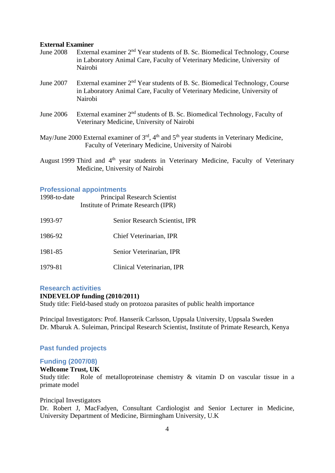#### **External Examiner**

- June 2008 External examiner 2<sup>nd</sup> Year students of B. Sc. Biomedical Technology. Course in Laboratory Animal Care, Faculty of Veterinary Medicine, University of Nairobi
- June 2007 External examiner 2nd Year students of B. Sc. Biomedical Technology, Course in Laboratory Animal Care, Faculty of Veterinary Medicine, University of Nairobi
- June 2006 External examiner  $2<sup>nd</sup>$  students of B. Sc. Biomedical Technology, Faculty of Veterinary Medicine, University of Nairobi
- May/June 2000 External examiner of 3<sup>rd</sup>, 4<sup>th</sup> and 5<sup>th</sup> year students in Veterinary Medicine, Faculty of Veterinary Medicine, University of Nairobi
- August 1999 Third and 4<sup>th</sup> year students in Veterinary Medicine, Faculty of Veterinary Medicine, University of Nairobi

## **Professional appointments**

| 1998-to-date | <b>Principal Research Scientist</b><br>Institute of Primate Research (IPR) |
|--------------|----------------------------------------------------------------------------|
| 1993-97      | <b>Senior Research Scientist, IPR</b>                                      |
| 1986-92      | Chief Veterinarian, IPR                                                    |
| 1981-85      | Senior Veterinarian, IPR                                                   |
| 1979-81      | Clinical Veterinarian, IPR                                                 |

#### **Research activities INDEVELOP funding (2010/2011)**

Study title: Field-based study on protozoa parasites of public health importance

Principal Investigators: Prof. Hanserik Carlsson, Uppsala University, Uppsala Sweden Dr. Mbaruk A. Suleiman, Principal Research Scientist, Institute of Primate Research, Kenya

## **Past funded projects**

#### **Funding (2007/08)**

## **Wellcome Trust, UK**

Study title: Role of metalloproteinase chemistry & vitamin D on vascular tissue in a primate model

#### Principal Investigators

Dr. Robert J, MacFadyen, Consultant Cardiologist and Senior Lecturer in Medicine, University Department of Medicine, Birmingham University, U.K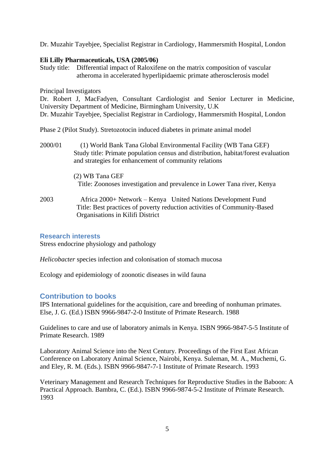Dr. Muzahir Tayebjee, Specialist Registrar in Cardiology, Hammersmith Hospital, London

## **Eli Lilly Pharmaceuticals, USA (2005/06)**

Study title: Differential impact of Raloxifene on the matrix composition of vascular atheroma in accelerated hyperlipidaemic primate atherosclerosis model

Principal Investigators

Dr. Robert J, MacFadyen, Consultant Cardiologist and Senior Lecturer in Medicine, University Department of Medicine, Birmingham University, U.K Dr. Muzahir Tayebjee, Specialist Registrar in Cardiology, Hammersmith Hospital, London

Phase 2 (Pilot Study). Stretozotocin induced diabetes in primate animal model

2000/01 (1) World Bank Tana Global Environmental Facility (WB Tana GEF) Study title: Primate population census and distribution, habitat/forest evaluation and strategies for enhancement of community relations

> (2) WB Tana GEF Title: Zoonoses investigation and prevalence in Lower Tana river, Kenya

2003 Africa 2000+ Network – Kenya United Nations Development Fund Title: Best practices of poverty reduction activities of Community-Based Organisations in Kilifi District

## **Research interests**

Stress endocrine physiology and pathology

*Helicobacter* species infection and colonisation of stomach mucosa

Ecology and epidemiology of zoonotic diseases in wild fauna

## **Contribution to books**

IPS International guidelines for the acquisition, care and breeding of nonhuman primates. Else, J. G. (Ed.) ISBN 9966-9847-2-0 Institute of Primate Research. 1988

Guidelines to care and use of laboratory animals in Kenya. ISBN 9966-9847-5-5 Institute of Primate Research. 1989

Laboratory Animal Science into the Next Century. Proceedings of the First East African Conference on Laboratory Animal Science, Nairobi, Kenya. Suleman, M. A., Muchemi, G. and Eley, R. M. (Eds.). ISBN 9966-9847-7-1 Institute of Primate Research. 1993

Veterinary Management and Research Techniques for Reproductive Studies in the Baboon: A Practical Approach. Bambra, C. (Ed.). ISBN 9966-9874-5-2 Institute of Primate Research. 1993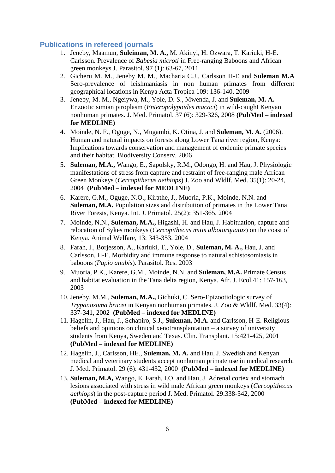## **Publications in refereed journals**

- 1. Jeneby, Maamun, **Suleiman, M. A.,** M. Akinyi, H. Ozwara, T. Kariuki, H-E. Carlsson. Prevalence of *Babesia microti* in Free-ranging Baboons and African green monkeys J. Parasitol. 97 (1): 63-67, 2011
- 2. Gicheru M. M., Jeneby M. M., Macharia C.J., Carlsson H-E and **Suleman M.A** Sero-prevalence of leishmaniasis in non human primates from different geographical locations in Kenya Acta Tropica 109: 136-140, 2009
- 3. Jeneby, M. M., Ngeiywa, M., Yole, D. S., Mwenda, J. and **Suleman, M. A.** Enzootic simian piroplasm (*Enteropolypoides macaci*) in wild-caught Kenyan nonhuman primates. J. Med. Primatol. 37 (6): 329-326, 2008 **(PubMed – indexed for MEDLINE)**
- 4. Moinde, N. F., Oguge, N., Mugambi, K. Otina, J. and **Suleman, M. A.** (2006). Human and natural impacts on forests along Lower Tana river region, Kenya: Implications towards conservation and management of endemic primate species and their habitat. Biodiversity Conserv. 2006
- 5. **Suleman, M.A.,** Wango, E., Sapolsky, R.M., Odongo, H. and Hau, J. Physiologic manifestations of stress from capture and restraint of free-ranging male African Green Monkeys (*Cercopithecus aethiops*) J. Zoo and Wldlf. Med. 35(1): 20-24, 2004 **(PubMed – indexed for MEDLINE)**
- 6. Karere, G.M., Oguge, N.O., Kirathe, J., Muoria, P.K., Moinde, N.N. and **Suleman, M.A.** Population sizes and distribution of primates in the Lower Tana River Forests, Kenya. Int. J. Primatol. 25(2): 351-365, 2004
- 7. Moinde, N.N., **Suleman, M.A.,** Higashi, H. and Hau, J. Habituation, capture and relocation of Sykes monkeys (*Cercopithecus mitis albotorquatus*) on the coast of Kenya. Animal Welfare, 13: 343-353. 2004
- 8. Farah, I., Borjesson, A., Kariuki, T., Yole, D., **Suleman, M. A.,** Hau, J. and Carlsson, H-E. Morbidity and immune response to natural schistosomiasis in baboons (*Papio anubis*). Parasitol. Res. 2003
- 9. Muoria, P.K., Karere, G.M., Moinde, N.N. and **Suleman, M.A.** Primate Census and habitat evaluation in the Tana delta region, Kenya. Afr. J. Ecol.41: 157-163, 2003
- 10. Jeneby, M.M., **Suleman, M.A.,** Gichuki, C. Sero-Epizootiologic survey of *Trypanosoma brucei* in Kenyan nonhuman primates. J. Zoo & Wldlf. Med. 33(4): 337-341, 2002 **(PubMed – indexed for MEDLINE)**
- 11. Hagelin, J., Hau, J., Schapiro, S.J., **Suleman, M.A.** and Carlsson, H-E. Religious beliefs and opinions on clinical xenotransplantation – a survey of university students from Kenya, Sweden and Texas. Clin. Transplant. 15:421-425, 2001 **(PubMed – indexed for MEDLINE)**
- 12. Hagelin, J., Carlsson, HE., **Suleman, M. A.** and Hau, J. Swedish and Kenyan medical and veterinary students accept nonhuman primate use in medical research. J. Med. Primatol. 29 (6): 431-432, 2000 **(PubMed – indexed for MEDLINE)**
- 13. **Suleman, M.A,** Wango, E. Farah, I.O. and Hau, J. Adrenal cortex and stomach lesions associated with stress in wild male African green monkeys (*Cercopithecus aethiops*) in the post-capture period J. Med. Primatol. 29:338-342, 2000 **(PubMed – indexed for MEDLINE)**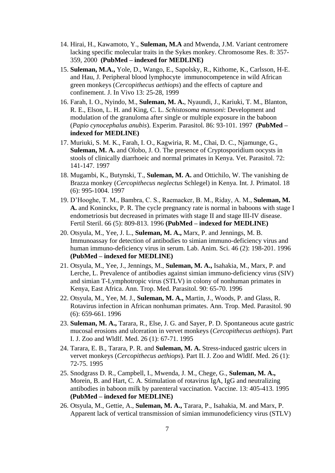- 14. Hirai, H., Kawamoto, Y., **Suleman, M.A** and Mwenda, J.M. Variant centromere lacking specific molecular traits in the Sykes monkey. Chromosome Res. 8: 357- 359, 2000 **(PubMed – indexed for MEDLINE)**
- 15. **Suleman, M.A.,** Yole, D., Wango, E., Sapolsky, R., Kithome, K., Carlsson, H-E. and Hau, J. Peripheral blood lymphocyte immunocompetence in wild African green monkeys (*Cercopithecus aethiops*) and the effects of capture and confinement. J. In Vivo 13: 25-28, 1999
- 16. Farah, I. O., Nyindo, M., **Suleman, M. A.**, Nyaundi, J., Kariuki, T. M., Blanton, R. E., Elson, L. H. and King, C. L. *Schistosoma mansoni*: Development and modulation of the granuloma after single or multiple exposure in the baboon (*Papio cynocephalus anubis*). Experim. Parasitol. 86: 93-101. 1997 **(PubMed – indexed for MEDLINE)**
- 17. Muriuki, S. M. K., Farah, I. O., Kagwiria, R. M., Chai, D. C., Njamunge, G., **Suleman, M. A.** and Olobo, J. O. The presence of Cryptosporidium oocysts in stools of clinically diarrhoeic and normal primates in Kenya. Vet. Parasitol. 72: 141-147. 1997
- 18. Mugambi, K., Butynski, T., **Suleman, M. A.** and Ottichilo, W. The vanishing de Brazza monkey (*Cercopithecus neglectus* Schlegel) in Kenya. Int. J. Primatol. 18 (6): 995-1004. 1997
- 19. D'Hooghe, T. M., Bambra, C. S., Raemaeker, B. M., Riday, A. M., **Suleman, M. A.** and Koninckx, P. R. The cycle pregnancy rate is normal in baboons with stage I endometriosis but decreased in primates with stage II and stage III-IV disease. Fertil Steril. 66 (5): 809-813. 1996 **(PubMed – indexed for MEDLINE)**
- 20. Otsyula, M., Yee, J. L., **Suleman, M. A.,** Marx, P. and Jennings, M. B. Immunoassay for detection of antibodies to simian immuno-deficiency virus and human immuno-deficiency virus in serum. Lab. Anim. Sci. 46 (2): 198-201. 1996 **(PubMed – indexed for MEDLINE)**
- 21. Otsyula, M., Yee, J., Jennings, M., **Suleman, M. A.,** Isahakia, M., Marx, P. and Lerche, L. Prevalence of antibodies against simian immuno-deficiency virus (SIV) and simian T-Lymphotropic virus (STLV) in colony of nonhuman primates in Kenya, East Africa. Ann. Trop. Med. Parasitol. 90: 65-70. 1996
- 22. Otsyula, M., Yee, M. J., **Suleman, M. A.,** Martin, J., Woods, P. and Glass, R. Rotavirus infection in African nonhuman primates. Ann. Trop. Med. Parasitol. 90 (6): 659-661. 1996
- 23. **Suleman, M. A.,** Tarara, R., Else, J. G. and Sayer, P. D. Spontaneous acute gastric mucosal erosions and ulceration in vervet monkeys (*Cercopithecus aethiops*). Part I. J. Zoo and Wldlf. Med. 26 (1): 67-71. 1995
- 24. Tarara, E. B., Tarara, P. R. and **Suleman, M. A.** Stress-induced gastric ulcers in vervet monkeys (*Cercopithecus aethiops*). Part II. J. Zoo and Wldlf. Med. 26 (1): 72-75. 1995
- 25. Snodgrass D. R., Campbell, I., Mwenda, J. M., Chege, G., **Suleman, M. A.,** Morein, B. and Hart, C. A. Stimulation of rotavirus IgA, IgG and neutralizing antibodies in baboon milk by parenteral vaccination. Vaccine. 13: 405-413. 1995 **(PubMed – indexed for MEDLINE)**
- 26. Otsyula, M., Gettie, A., **Suleman, M. A.,** Tarara, P., Isahakia, M. and Marx, P. Apparent lack of vertical transmission of simian immunodeficiency virus (STLV)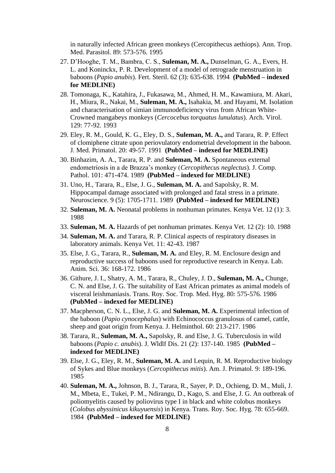in naturally infected African green monkeys (Cercopithecus aethiops). Ann. Trop. Med. Parasitol. 89: 573-576. 1995

- 27. D'Hooghe, T. M., Bambra, C. S., **Suleman, M. A.,** Dunselman, G. A., Evers, H. L. and Koninckx, P. R. Development of a model of retrograde menstruation in baboons (*Papio anubis*). Fert. Steril. 62 (3): 635-638. 1994 **(PubMed – indexed for MEDLINE)**
- 28. Tomonaga, K., Katahira, J., Fukasawa, M., Ahmed, H. M., Kawamiura, M. Akari, H., Miura, R., Nakai, M., **Suleman, M. A.,** Isahakia, M. and Hayami, M. Isolation and characterisation of simian immunodeficiency virus from African White-Crowned mangabeys monkeys (*Cercocebus torquatus lunulatus*). Arch. Virol. 129: 77-92. 1993
- 29. Eley, R. M., Gould, K. G., Eley, D. S., **Suleman, M. A.,** and Tarara, R. P. Effect of clomiphene citrate upon periovulatory endometrial development in the baboon. J. Med. Primatol. 20: 49-57. 1991 **(PubMed – indexed for MEDLINE)**
- 30. Binhazim, A. A., Tarara, R. P. and **Suleman, M. A.** Spontaneous external endometriosis in a de Brazza's monkey (*Cercopithecus neglectus*). J. Comp. Pathol. 101: 471-474. 1989 **(PubMed – indexed for MEDLINE)**
- 31. Uno, H., Tarara, R., Else, J. G., **Suleman, M. A.** and Sapolsky, R. M. Hippocampal damage associated with prolonged and fatal stress in a primate. Neuroscience. 9 (5): 1705-1711. 1989 **(PubMed – indexed for MEDLINE)**
- 32. **Suleman, M. A.** Neonatal problems in nonhuman primates. Kenya Vet. 12 (1): 3. 1988
- 33. **Suleman, M. A.** Hazards of pet nonhuman primates. Kenya Vet. 12 (2): 10. 1988
- 34. **Suleman, M. A.** and Tarara, R. P. Clinical aspects of respiratory diseases in laboratory animals. Kenya Vet. 11: 42-43. 1987
- 35. Else, J. G., Tarara, R., **Suleman, M. A.** and Eley, R. M. Enclosure design and reproductive success of baboons used for reproductive research in Kenya. Lab. Anim. Sci. 36: 168-172. 1986
- 36. Githure, J. I., Shatry, A. M., Tarara, R., Chuley, J. D., **Suleman, M. A.,** Chunge, C. N. and Else, J. G. The suitability of East African primates as animal models of visceral leishmaniasis. Trans. Roy. Soc. Trop. Med. Hyg. 80: 575-576. 1986 **(PubMed – indexed for MEDLINE)**
- 37. Macpherson, C. N. L., Else, J. G. and **Suleman, M. A.** Experimental infection of the baboon (*Papio cynocephalus*) with Echinococcus granulosus of camel, cattle, sheep and goat origin from Kenya. J. Helminthol. 60: 213-217. 1986
- 38. Tarara, R., **Suleman, M. A.,** Sapolsky, R. and Else, J. G. Tuberculosis in wild baboons (*Papio c. anubis*). J. Wldlf Dis. 21 (2): 137-140. 1985 **(PubMed – indexed for MEDLINE)**
- 39. Else, J. G., Eley, R. M., **Suleman, M. A.** and Lequin, R. M. Reproductive biology of Sykes and Blue monkeys (*Cercopithecus mitis*). Am. J. Primatol. 9: 189-196. 1985
- 40. **Suleman, M. A.,** Johnson, B. J., Tarara, R., Sayer, P. D., Ochieng, D. M., Muli, J. M., Mbeta, E., Tukei, P. M., Ndirangu, D., Kago, S. and Else, J. G. An outbreak of poliomyelitis caused by poliovirus type I in black and white colobus monkeys (*Colobus abyssinicus kikuyuensis*) in Kenya. Trans. Roy. Soc. Hyg. 78: 655-669. 1984 **(PubMed – indexed for MEDLINE)**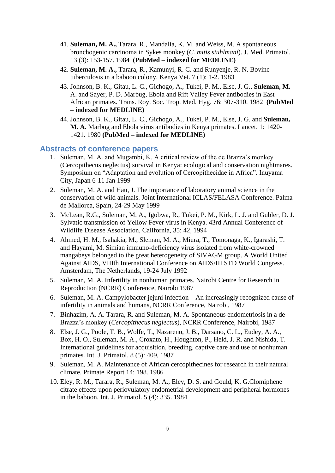- 41. **Suleman, M. A.,** Tarara, R., Mandalia, K. M. and Weiss, M. A spontaneous bronchogenic carcinoma in Sykes monkey (*C. mitis stuhlmani*). J. Med. Primatol. 13 (3): 153-157. 1984 **(PubMed – indexed for MEDLINE)**
- 42. **Suleman, M. A.,** Tarara, R., Kamunyi, R. C. and Runyenje, R. N. Bovine tuberculosis in a baboon colony. Kenya Vet. 7 (1): 1-2. 1983
- 43. Johnson, B. K., Gitau, L. C., Gichogo, A., Tukei, P. M., Else, J. G., **Suleman, M.** A. and Sayer, P. D. Marbug, Ebola and Rift Valley Fever antibodies in East African primates. Trans. Roy. Soc. Trop. Med. Hyg. 76: 307-310. 1982 **(PubMed – indexed for MEDLINE)**
- 44. Johnson, B. K., Gitau, L. C., Gichogo, A., Tukei, P. M., Else, J. G. and **Suleman, M. A.** Marbug and Ebola virus antibodies in Kenya primates. Lancet. 1: 1420- 1421. 1980 **(PubMed – indexed for MEDLINE)**

## **Abstracts of conference papers**

- 1. Suleman, M. A. and Mugambi, K. A critical review of the de Brazza's monkey (Cercopithecus neglectus) survival in Kenya: ecological and conservation nightmares. Symposium on "Adaptation and evolution of Cercopithecidae in Africa". Inuyama City, Japan 6-11 Jan 1999
- 2. Suleman, M. A. and Hau, J. The importance of laboratory animal science in the conservation of wild animals. Joint International ICLAS/FELASA Conference. Palma de Mallorca, Spain, 24-29 May 1999
- 3. McLean, R.G., Suleman, M. A., Igobwa, R., Tukei, P. M., Kirk, L. J. and Gubler, D. J. Sylvatic transmission of Yellow Fever virus in Kenya. 43rd Annual Conference of Wildlife Disease Association, California, 35: 42, 1994
- 4. Ahmed, H. M., Isahakia, M., Sleman, M. A., Miura, T., Tomonaga, K., Igarashi, T. and Hayami, M. Simian immuno-deficiency virus isolated from white-crowned mangabeys belonged to the great heterogeneity of SIVAGM group. A World United Against AIDS, VIIIth International Conference on AIDS/III STD World Congress. Amsterdam, The Netherlands, 19-24 July 1992
- 5. Suleman, M. A. Infertility in nonhuman primates. Nairobi Centre for Research in Reproduction (NCRR) Conference, Nairobi 1987
- 6. Suleman, M. A. Campylobacter jejuni infection An increasingly recognized cause of infertility in animals and humans, NCRR Conference, Nairobi, 1987
- 7. Binhazim, A. A. Tarara, R. and Suleman, M. A. Spontaneous endometriosis in a de Brazza's monkey (*Cercopithecus neglectus*), NCRR Conference, Nairobi, 1987
- 8. Else, J. G., Poole, T. B., Wolfe, T., Nazareno, J. B., Darsano, C. L., Eudey, A. A., Box, H. O., Suleman, M. A., Croxato, H., Houghton, P., Held, J. R. and Nishida, T. International guidelines for acquisition, breeding, captive care and use of nonhuman primates. Int. J. Primatol. 8 (5): 409, 1987
- 9. Suleman, M. A. Maintenance of African cercopithecines for research in their natural climate. Primate Report 14: 198. 1986
- 10. Eley, R. M., Tarara, R., Suleman, M. A., Eley, D. S. and Gould, K. G.Clomiphene citrate effects upon periovulatory endometrial development and peripheral hormones in the baboon. Int. J. Primatol. 5 (4): 335. 1984